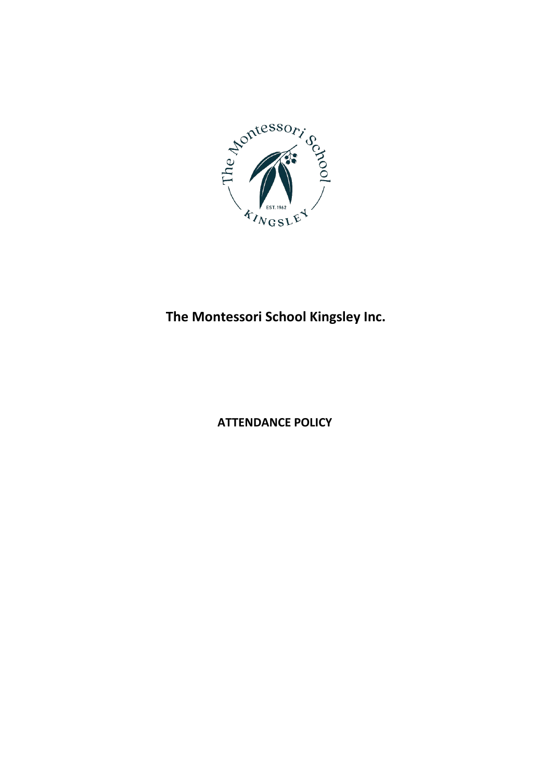

# **The Montessori School Kingsley Inc.**

**ATTENDANCE POLICY**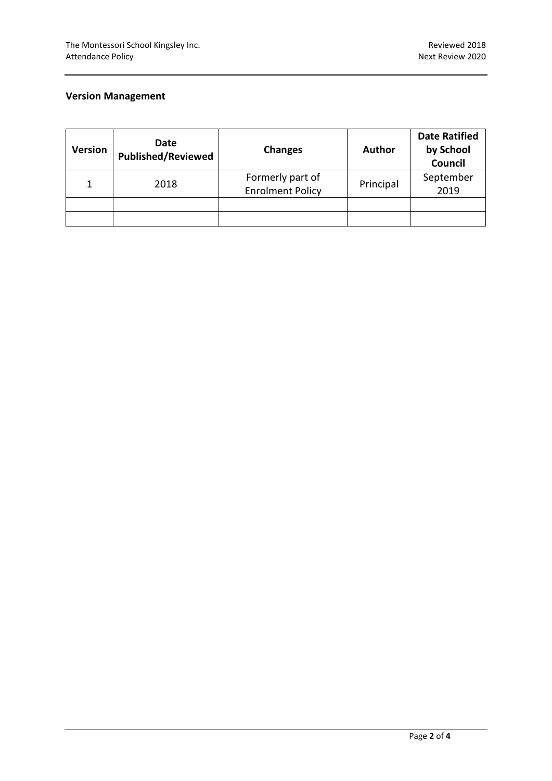# **Version Management**

| <b>Version</b> | Date<br><b>Published/Reviewed</b> | <b>Changes</b>                              | <b>Author</b> | <b>Date Ratified</b><br>by School<br>Council |
|----------------|-----------------------------------|---------------------------------------------|---------------|----------------------------------------------|
|                | 2018                              | Formerly part of<br><b>Enrolment Policy</b> | Principal     | September<br>2019                            |
|                |                                   |                                             |               |                                              |
|                |                                   |                                             |               |                                              |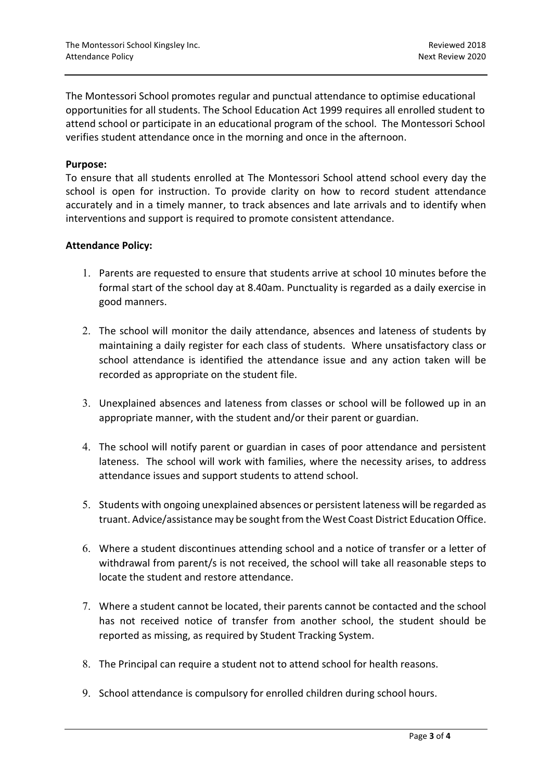The Montessori School promotes regular and punctual attendance to optimise educational opportunities for all students. The School Education Act 1999 requires all enrolled student to attend school or participate in an educational program of the school. The Montessori School verifies student attendance once in the morning and once in the afternoon.

### **Purpose:**

To ensure that all students enrolled at The Montessori School attend school every day the school is open for instruction. To provide clarity on how to record student attendance accurately and in a timely manner, to track absences and late arrivals and to identify when interventions and support is required to promote consistent attendance.

#### **Attendance Policy:**

- 1. Parents are requested to ensure that students arrive at school 10 minutes before the formal start of the school day at 8.40am. Punctuality is regarded as a daily exercise in good manners.
- 2. The school will monitor the daily attendance, absences and lateness of students by maintaining a daily register for each class of students. Where unsatisfactory class or school attendance is identified the attendance issue and any action taken will be recorded as appropriate on the student file.
- 3. Unexplained absences and lateness from classes or school will be followed up in an appropriate manner, with the student and/or their parent or guardian.
- 4. The school will notify parent or guardian in cases of poor attendance and persistent lateness. The school will work with families, where the necessity arises, to address attendance issues and support students to attend school.
- 5. Students with ongoing unexplained absences or persistent lateness will be regarded as truant. Advice/assistance may be sought from the West Coast District Education Office.
- 6. Where a student discontinues attending school and a notice of transfer or a letter of withdrawal from parent/s is not received, the school will take all reasonable steps to locate the student and restore attendance.
- 7. Where a student cannot be located, their parents cannot be contacted and the school has not received notice of transfer from another school, the student should be reported as missing, as required by Student Tracking System.
- 8. The Principal can require a student not to attend school for health reasons.
- 9. School attendance is compulsory for enrolled children during school hours.